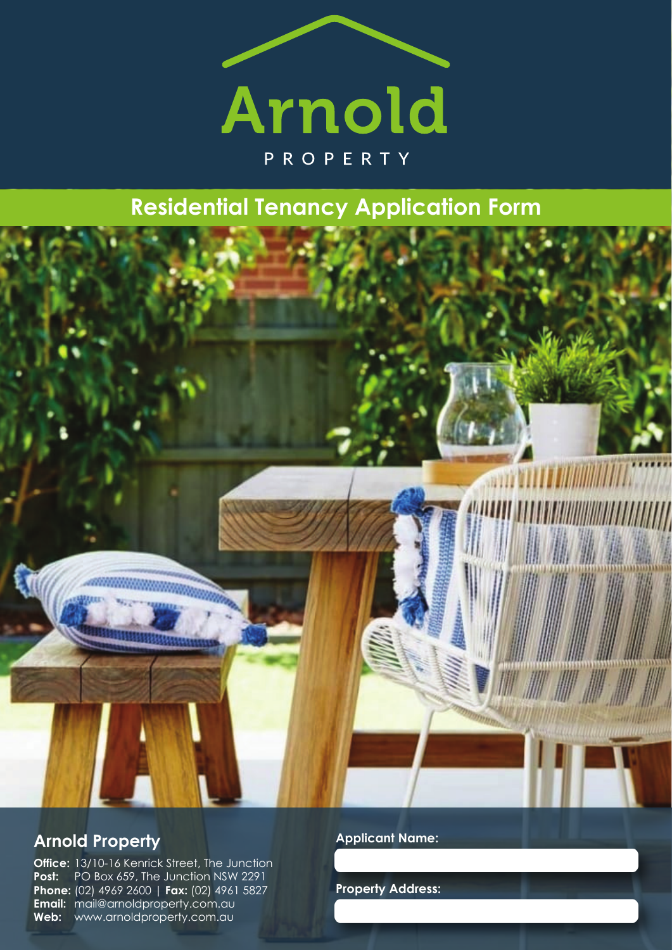

# **Residential Tenancy Application Form**



## **Arnold Property**

**Office:** 13/10-16 Kenrick Street, The Junction **Post:** PO Box 659, The Junction NSW 2291 **Phone:** (02) 4969 2600 | **Fax:** (02) 4961 5827 **Email:** mail@arnoldproperty.com.au **Web:** www.arnoldproperty.com.au

**Applicant Name:**

**Property Address:**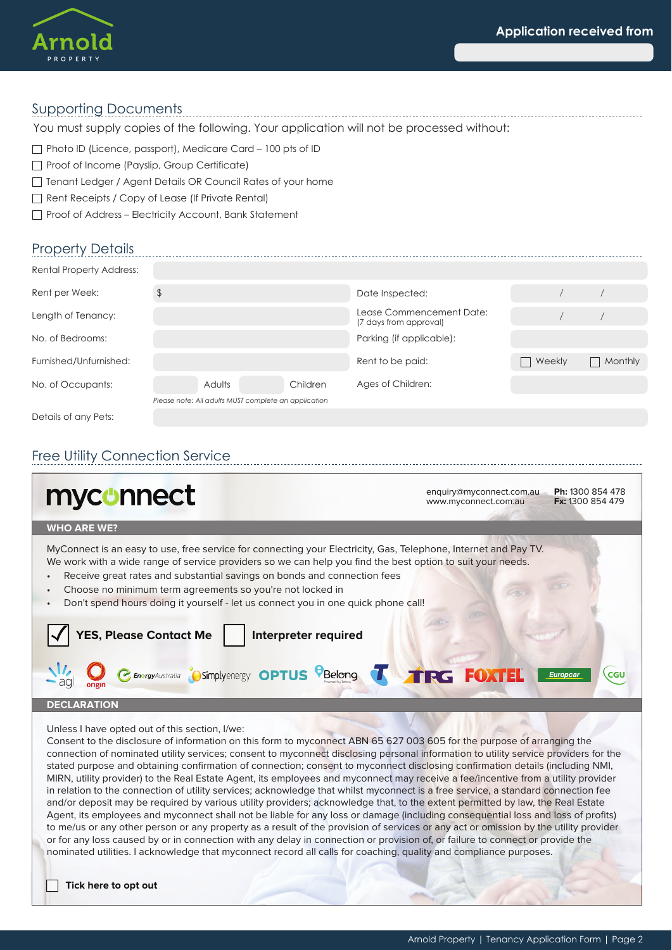

#### Supporting Documents

You must supply copies of the following. Your application will not be processed without:

 $\Box$  Photo ID (Licence, passport), Medicare Card – 100 pts of ID

- Proof of Income (Payslip, Group Certificate)
- Tenant Ledger / Agent Details OR Council Rates of your home
- Rent Receipts / Copy of Lease (If Private Rental)
- Proof of Address Electricity Account, Bank Statement

### Property Details

| <b>Rental Property Address:</b>                      |        |          |                                                    |                          |         |  |
|------------------------------------------------------|--------|----------|----------------------------------------------------|--------------------------|---------|--|
| Rent per Week:                                       |        |          | Date Inspected:                                    |                          |         |  |
| Length of Tenancy:                                   |        |          | Lease Commencement Date:<br>(7 days from approval) |                          |         |  |
| No. of Bedrooms:                                     |        |          | Parking (if applicable):                           |                          |         |  |
| Furnished/Unfurnished:                               |        |          | Rent to be paid:                                   | Weekly<br>$\blacksquare$ | Monthly |  |
| No. of Occupants:                                    | Adults | Children | Ages of Children:                                  |                          |         |  |
| Please note: All adults MUST complete an application |        |          |                                                    |                          |         |  |
| Details of any Pets:                                 |        |          |                                                    |                          |         |  |

### Free Utility Connection Service

| myconnect                                                                                                                                                                                                                                                                                                                                                                                                                                                                                          | enquiry@myconnect.com.au<br>www.myconnect.com.au | Ph: 1300 854 478<br>Fx: 1300 854 479 |
|----------------------------------------------------------------------------------------------------------------------------------------------------------------------------------------------------------------------------------------------------------------------------------------------------------------------------------------------------------------------------------------------------------------------------------------------------------------------------------------------------|--------------------------------------------------|--------------------------------------|
| <b>WHO ARE WE?</b>                                                                                                                                                                                                                                                                                                                                                                                                                                                                                 |                                                  |                                      |
| MyConnect is an easy to use, free service for connecting your Electricity, Gas, Telephone, Internet and Pay TV.<br>We work with a wide range of service providers so we can help you find the best option to suit your needs.<br>Receive great rates and substantial savings on bonds and connection fees<br>$\bullet$<br>Choose no minimum term agreements so you're not locked in<br>$\bullet$<br>Don't spend hours doing it yourself - let us connect you in one quick phone call!<br>$\bullet$ |                                                  |                                      |
| <b>YES, Please Contact Me</b><br>Interpreter required                                                                                                                                                                                                                                                                                                                                                                                                                                              |                                                  |                                      |
| C Energy Australia <sup>7</sup> OSimply energy <sup>2</sup> OPTUS <sup>C</sup> Belong T TRG FOXTEL                                                                                                                                                                                                                                                                                                                                                                                                 |                                                  | <b>CGU</b><br>Europcar               |
| <b>DECLARATION</b>                                                                                                                                                                                                                                                                                                                                                                                                                                                                                 |                                                  |                                      |
| Unless I have opted out of this section, I/we:                                                                                                                                                                                                                                                                                                                                                                                                                                                     |                                                  |                                      |

Consent to the disclosure of information on this form to myconnect ABN 65 627 003 605 for the purpose of arranging the connection of nominated utility services; consent to myconnect disclosing personal information to utility service providers for the stated purpose and obtaining confirmation of connection; consent to myconnect disclosing confirmation details (including NMI, MIRN, utility provider) to the Real Estate Agent, its employees and myconnect may receive a fee/incentive from a utility provider in relation to the connection of utility services; acknowledge that whilst myconnect is a free service, a standard connection fee and/or deposit may be required by various utility providers; acknowledge that, to the extent permitted by law, the Real Estate Agent, its employees and myconnect shall not be liable for any loss or damage (including consequential loss and loss of profits) to me/us or any other person or any property as a result of the provision of services or any act or omission by the utility provider or for any loss caused by or in connection with any delay in connection or provision of, or failure to connect or provide the nominated utilities. I acknowledge that myconnect record all calls for coaching, quality and compliance purposes.

**Tick here to opt out**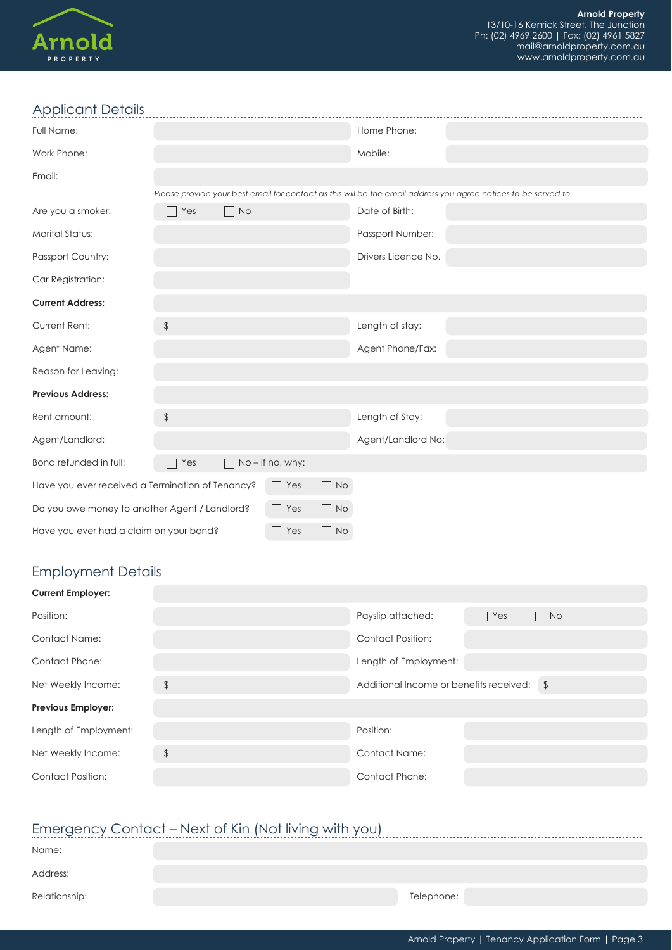

### Applicant Details

| Applicant Details                                                 |                |                             |                |                             |                     |                                                                                                                |  |
|-------------------------------------------------------------------|----------------|-----------------------------|----------------|-----------------------------|---------------------|----------------------------------------------------------------------------------------------------------------|--|
| Full Name:                                                        |                |                             |                |                             | Home Phone:         |                                                                                                                |  |
| Work Phone:                                                       |                |                             |                |                             | Mobile:             |                                                                                                                |  |
| Email:                                                            |                |                             |                |                             |                     |                                                                                                                |  |
|                                                                   |                |                             |                |                             |                     | Please provide your best email for contact as this will be the email address you agree notices to be served to |  |
| Are you a smoker:                                                 | Yes<br>٦       | <b>No</b><br>$\blacksquare$ |                |                             | Date of Birth:      |                                                                                                                |  |
| <b>Marital Status:</b>                                            |                |                             |                |                             | Passport Number:    |                                                                                                                |  |
| Passport Country:                                                 |                |                             |                |                             | Drivers Licence No. |                                                                                                                |  |
| Car Registration:                                                 |                |                             |                |                             |                     |                                                                                                                |  |
| <b>Current Address:</b>                                           |                |                             |                |                             |                     |                                                                                                                |  |
| Current Rent:                                                     | $\updownarrow$ |                             |                |                             | Length of stay:     |                                                                                                                |  |
| Agent Name:                                                       |                |                             |                |                             | Agent Phone/Fax:    |                                                                                                                |  |
| Reason for Leaving:                                               |                |                             |                |                             |                     |                                                                                                                |  |
| <b>Previous Address:</b>                                          |                |                             |                |                             |                     |                                                                                                                |  |
| Rent amount:                                                      | $\updownarrow$ |                             |                |                             | Length of Stay:     |                                                                                                                |  |
| Agent/Landlord:                                                   |                |                             |                |                             | Agent/Landlord No:  |                                                                                                                |  |
| Bond refunded in full:                                            | Yes<br>⊣       |                             | No-If no, why: |                             |                     |                                                                                                                |  |
| Have you ever received a Termination of Tenancy?                  |                |                             | $\Box$ Yes     | $\Box$ No                   |                     |                                                                                                                |  |
| Yes<br>$\Box$ No<br>Do you owe money to another Agent / Landlord? |                |                             |                |                             |                     |                                                                                                                |  |
| Have you ever had a claim on your bond?                           |                |                             | Yes            | $\overline{\phantom{0}}$ No |                     |                                                                                                                |  |
|                                                                   |                |                             |                |                             |                     |                                                                                                                |  |

## Employment Details

| <b>Current Employer:</b>  |                |                                            |            |           |
|---------------------------|----------------|--------------------------------------------|------------|-----------|
| Position:                 |                | Payslip attached:                          | $\Box$ Yes | $\Box$ No |
| <b>Contact Name:</b>      |                | <b>Contact Position:</b>                   |            |           |
| <b>Contact Phone:</b>     |                | Length of Employment:                      |            |           |
| Net Weekly Income:        | $\frac{1}{2}$  | Additional Income or benefits received: \$ |            |           |
| <b>Previous Employer:</b> |                |                                            |            |           |
| Length of Employment:     |                | Position:                                  |            |           |
| Net Weekly Income:        | $\updownarrow$ | Contact Name:                              |            |           |
| <b>Contact Position:</b>  |                | <b>Contact Phone:</b>                      |            |           |

#### Emergency Contact – Next of Kin (Not living with you)

| LITOLY CONTACT TION OF NIT (TOT ITTILY WILL YOU |            |  |  |  |  |  |
|-------------------------------------------------|------------|--|--|--|--|--|
| Name:                                           |            |  |  |  |  |  |
| Address:                                        |            |  |  |  |  |  |
| Relationship:                                   | Telephone: |  |  |  |  |  |